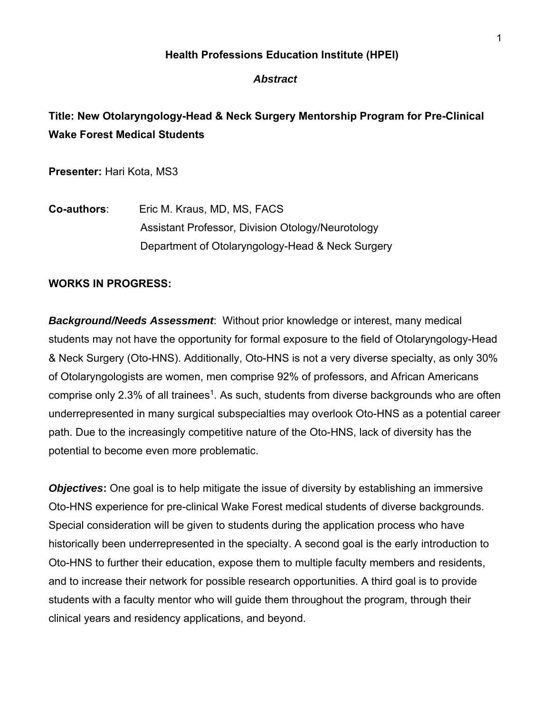### **Health Professions Education Institute (HPEI)**

#### *Abstract*

# **Title: New Otolaryngology-Head & Neck Surgery Mentorship Program for Pre-Clinical Wake Forest Medical Students**

**Presenter:** Hari Kota, MS3

**Co-authors**: Eric M. Kraus, MD, MS, FACS Assistant Professor, Division Otology/Neurotology Department of Otolaryngology-Head & Neck Surgery

### **WORKS IN PROGRESS:**

*Background/Needs Assessment*: Without prior knowledge or interest, many medical students may not have the opportunity for formal exposure to the field of Otolaryngology-Head & Neck Surgery (Oto-HNS). Additionally, Oto-HNS is not a very diverse specialty, as only 30% of Otolaryngologists are women, men comprise 92% of professors, and African Americans comprise only 2.3% of all trainees<sup>1</sup>. As such, students from diverse backgrounds who are often underrepresented in many surgical subspecialties may overlook Oto-HNS as a potential career path. Due to the increasingly competitive nature of the Oto-HNS, lack of diversity has the potential to become even more problematic.

*Objectives***:** One goal is to help mitigate the issue of diversity by establishing an immersive Oto-HNS experience for pre-clinical Wake Forest medical students of diverse backgrounds. Special consideration will be given to students during the application process who have historically been underrepresented in the specialty. A second goal is the early introduction to Oto-HNS to further their education, expose them to multiple faculty members and residents, and to increase their network for possible research opportunities. A third goal is to provide students with a faculty mentor who will guide them throughout the program, through their clinical years and residency applications, and beyond.